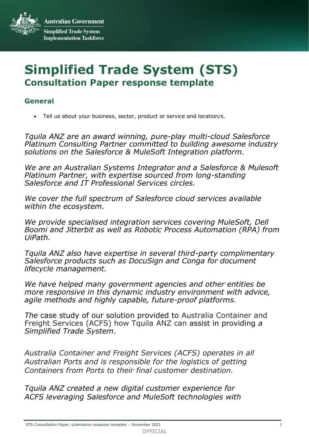**Australian Government Simplified Trade System Implementation Taskforce** 

# **Simplified Trade System (STS) Consultation Paper response template**

## **General**

• Tell us about your business, sector, product or service and location/s.

*Tquila ANZ are an award winning, pure-play multi-cloud Salesforce Platinum Consulting Partner committed to building awesome industry solutions on the Salesforce & MuleSoft Integration platform.* 

*We are an Australian Systems Integrator and a Salesforce & Mulesoft Platinum Partner, with expertise sourced from long-standing Salesforce and IT Professional Services circles.*

*We cover the full spectrum of Salesforce cloud services available within the ecosystem.* 

*We provide specialised integration services covering MuleSoft, Dell Boomi and Jitterbit as well as Robotic Process Automation (RPA) from UiPath.*

*Tquila ANZ also have expertise in several third-party complimentary Salesforce products such as DocuSign and Conga for document lifecycle management.* 

*We have helped many government agencies and other entities be more responsive in this dynamic industry environment with advice, agile methods and highly capable, future-proof platforms.*

*The* case study of our solution provided to Australia Container and Freight Services (ACFS) how Tquila ANZ can assist in providing *a Simplified Trade System.* 

*Australia Container and Freight Services (ACFS) operates in all Australian Ports and is responsible for the logistics of getting Containers from Ports to their final customer destination.*

*Tquila ANZ created a new digital customer experience for ACFS leveraging Salesforce and MuleSoft technologies with*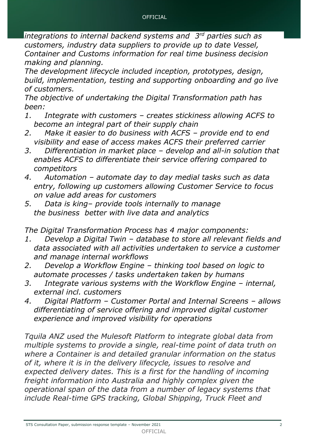*integrations to internal backend systems and 3 rd parties such as customers, industry data suppliers to provide up to date Vessel, Container and Customs information for real time business decision making and planning.*

*The development lifecycle included inception, prototypes, design, build, implementation, testing and supporting onboarding and go live of customers.*

*The objective of undertaking the Digital Transformation path has been:*

- *1. Integrate with customers – creates stickiness allowing ACFS to become an integral part of their supply chain*
- *2. Make it easier to do business with ACFS – provide end to end visibility and ease of access makes ACFS their preferred carrier*
- *3. Differentiation in market place – develop and all-in solution that enables ACFS to differentiate their service offering compared to competitors*
- *4. Automation – automate day to day medial tasks such as data entry, following up customers allowing Customer Service to focus on value add areas for customers*
- *5. Data is king– provide tools internally to manage the business better with live data and analytics*

*The Digital Transformation Process has 4 major components:*

- *1. Develop a Digital Twin – database to store all relevant fields and data associated with all activities undertaken to service a customer and manage internal workflows*
- *2. Develop a Workflow Engine – thinking tool based on logic to automate processes / tasks undertaken taken by humans*
- *3. Integrate various systems with the Workflow Engine – internal, external incl. customers*
- *4. Digital Platform – Customer Portal and Internal Screens – allows differentiating of service offering and improved digital customer experience and improved visibility for operations*

*Tquila ANZ used the Mulesoft Platform to integrate global data from multiple systems to provide a single, real-time point of data truth on where a Container is and detailed granular information on the status of it, where it is in the delivery lifecycle, issues to resolve and expected delivery dates. This is a first for the handling of incoming freight information into Australia and highly complex given the operational span of the data from a number of legacy systems that include Real-time GPS tracking, Global Shipping, Truck Fleet and*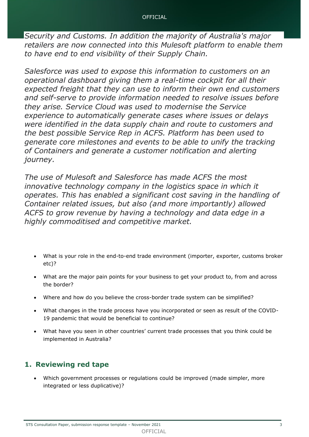*Security and Customs. In addition the majority of Australia's major retailers are now connected into this Mulesoft platform to enable them to have end to end visibility of their Supply Chain.*

*Salesforce was used to expose this information to customers on an operational dashboard giving them a real-time cockpit for all their expected freight that they can use to inform their own end customers and self-serve to provide information needed to resolve issues before they arise. Service Cloud was used to modernise the Service experience to automatically generate cases where issues or delays were identified in the data supply chain and route to customers and the best possible Service Rep in ACFS. Platform has been used to generate core milestones and events to be able to unify the tracking of Containers and generate a customer notification and alerting journey.*

*The use of Mulesoft and Salesforce has made ACFS the most innovative technology company in the logistics space in which it operates. This has enabled a significant cost saving in the handling of Container related issues, but also (and more importantly) allowed ACFS to grow revenue by having a technology and data edge in a highly commoditised and competitive market.*

- What is your role in the end-to-end trade environment (importer, exporter, customs broker etc)?
- What are the major pain points for your business to get your product to, from and across the border?
- Where and how do you believe the cross-border trade system can be simplified?
- What changes in the trade process have you incorporated or seen as result of the COVID-19 pandemic that would be beneficial to continue?
- What have you seen in other countries' current trade processes that you think could be implemented in Australia?

# **1. Reviewing red tape**

• Which government processes or regulations could be improved (made simpler, more integrated or less duplicative)?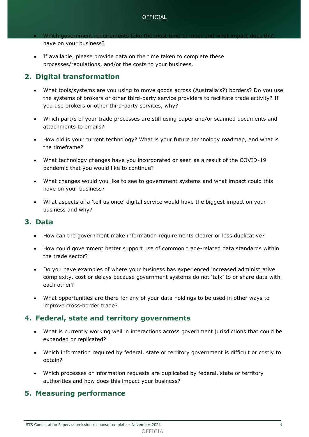#### **OFFICIAL**

- Which government requirements take the have on your business?
- If available, please provide data on the time taken to complete these processes/regulations, and/or the costs to your business.

# **2. Digital transformation**

- What tools/systems are you using to move goods across (Australia's?) borders? Do you use the systems of brokers or other third-party service providers to facilitate trade activity? If you use brokers or other third-party services, why?
- Which part/s of your trade processes are still using paper and/or scanned documents and attachments to emails?
- How old is your current technology? What is your future technology roadmap, and what is the timeframe?
- What technology changes have you incorporated or seen as a result of the COVID-19 pandemic that you would like to continue?
- What changes would you like to see to government systems and what impact could this have on your business?
- What aspects of a 'tell us once' digital service would have the biggest impact on your business and why?

### **3. Data**

- How can the government make information requirements clearer or less duplicative?
- How could government better support use of common trade-related data standards within the trade sector?
- Do you have examples of where your business has experienced increased administrative complexity, cost or delays because government systems do not 'talk' to or share data with each other?
- What opportunities are there for any of your data holdings to be used in other ways to improve cross-border trade?

## **4. Federal, state and territory governments**

- What is currently working well in interactions across government jurisdictions that could be expanded or replicated?
- Which information required by federal, state or territory government is difficult or costly to obtain?
- Which processes or information requests are duplicated by federal, state or territory authorities and how does this impact your business?

# **5. Measuring performance**